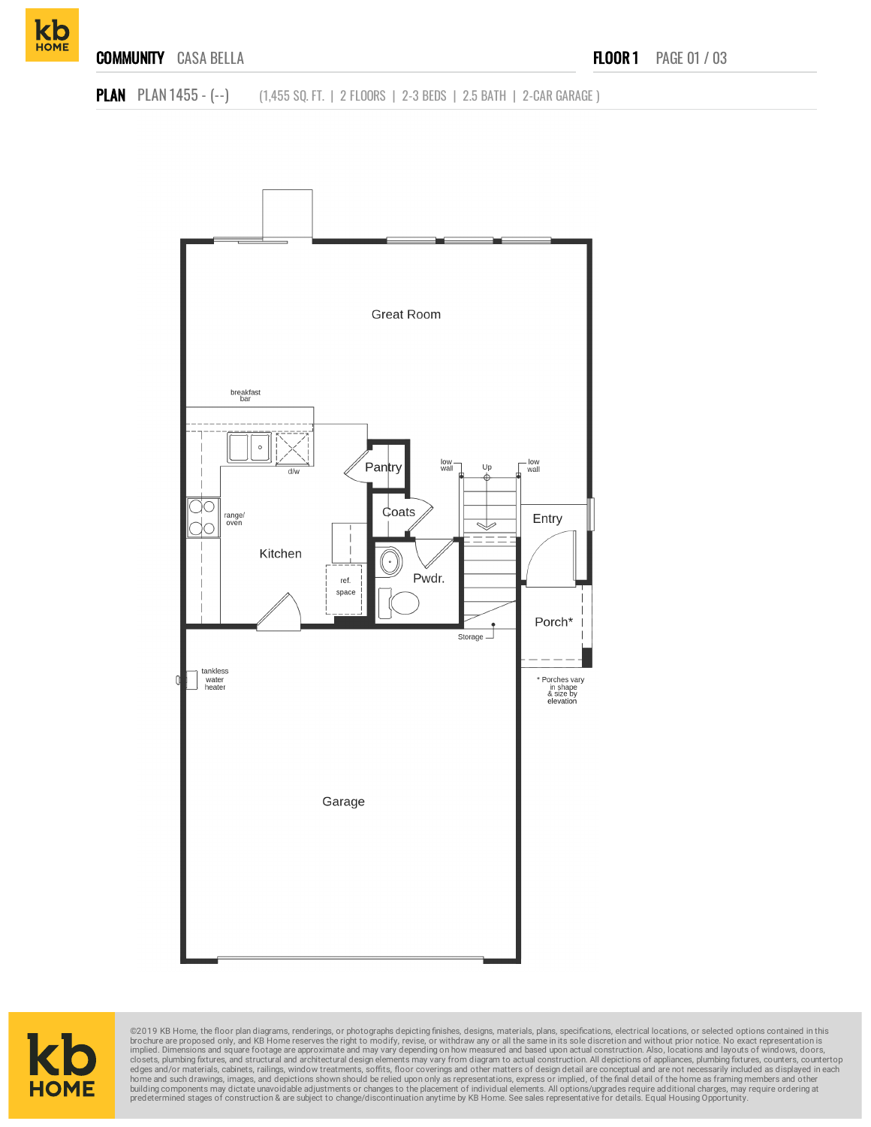







©2019 KB Home, the floor plan diagrams, renderings, or photographs depicting finishes, designs, materials, plans, specifications, electrical locations, or selected options contained in this brookure are proposed only, and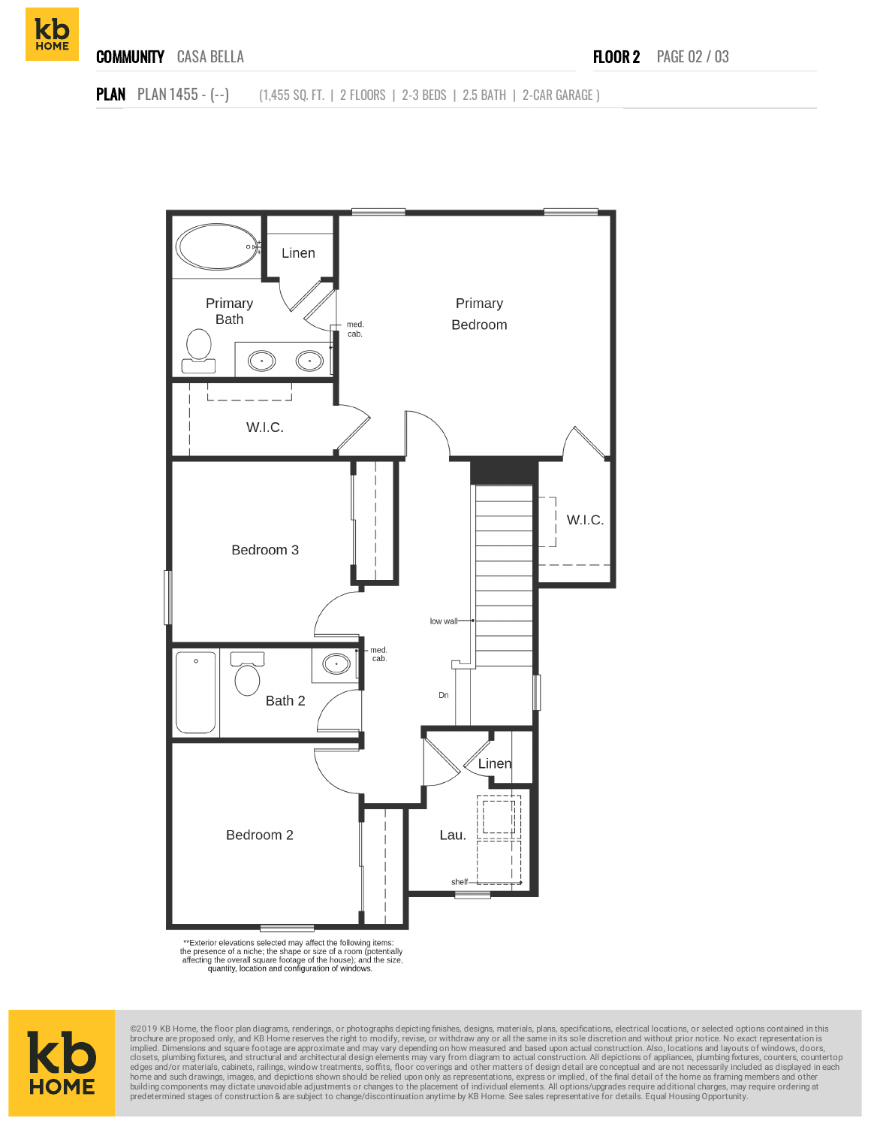





\*\*Exterior elevations selected may affect the following items:<br>the presence of a niche; the shape or size of a room (potentially<br>affecting the overall square footage of the house); and the size,<br>quantity, location and conf



@2019 KB Home, the floor plan diagrams, renderings, or photographs depicting finishes, designs, materials, plans, specifications, electrical locations, or selected options contained in this brochure are proposed only, and home and such drawings, images, and depictions shown should be relied upon only as representations, express or implied, of the final detail of the home as framing members and other<br>building components may dictate unavoidab